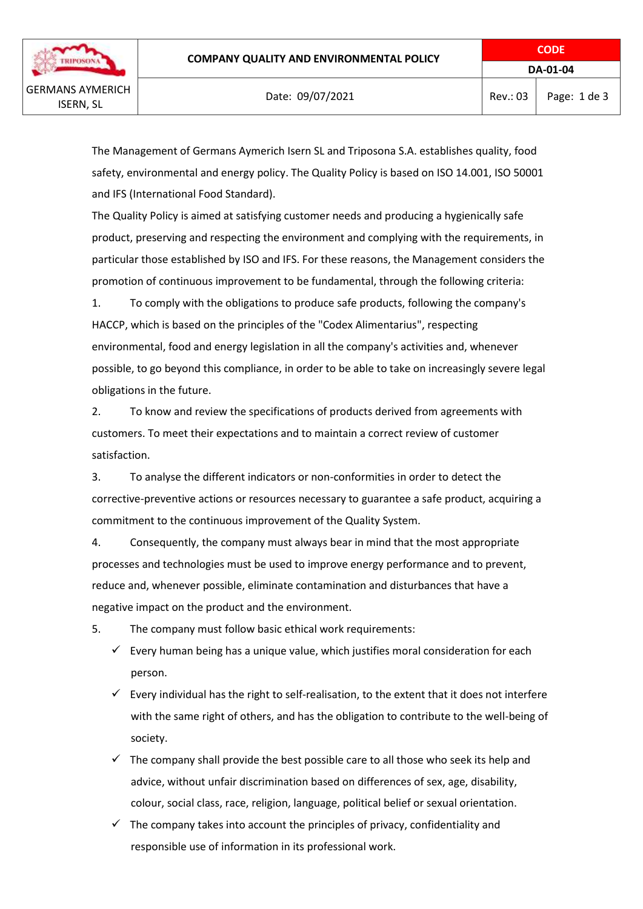safety, environmental and energy policy. The Quality Policy is based on ISO 14.001, ISO 50001 and IFS (International Food Standard).

The Quality Policy is aimed at satisfying customer needs and producing a hygienically safe product, preserving and respecting the environment and complying with the requirements, in particular those established by ISO and IFS. For these reasons, the Management considers the promotion of continuous improvement to be fundamental, through the following criteria:

1. To comply with the obligations to produce safe products, following the company's HACCP, which is based on the principles of the "Codex Alimentarius", respecting environmental, food and energy legislation in all the company's activities and, whenever possible, to go beyond this compliance, in order to be able to take on increasingly severe legal obligations in the future.

2. To know and review the specifications of products derived from agreements with customers. To meet their expectations and to maintain a correct review of customer satisfaction.

3. To analyse the different indicators or non-conformities in order to detect the corrective-preventive actions or resources necessary to guarantee a safe product, acquiring a commitment to the continuous improvement of the Quality System.

4. Consequently, the company must always bear in mind that the most appropriate processes and technologies must be used to improve energy performance and to prevent, reduce and, whenever possible, eliminate contamination and disturbances that have a negative impact on the product and the environment.

5. The company must follow basic ethical work requirements:

- $\checkmark$  Every human being has a unique value, which justifies moral consideration for each person.
- $\checkmark$  Every individual has the right to self-realisation, to the extent that it does not interfere with the same right of others, and has the obligation to contribute to the well-being of society.
- $\checkmark$  The company shall provide the best possible care to all those who seek its help and advice, without unfair discrimination based on differences of sex, age, disability, colour, social class, race, religion, language, political belief or sexual orientation.
- $\checkmark$  The company takes into account the principles of privacy, confidentiality and responsible use of information in its professional work.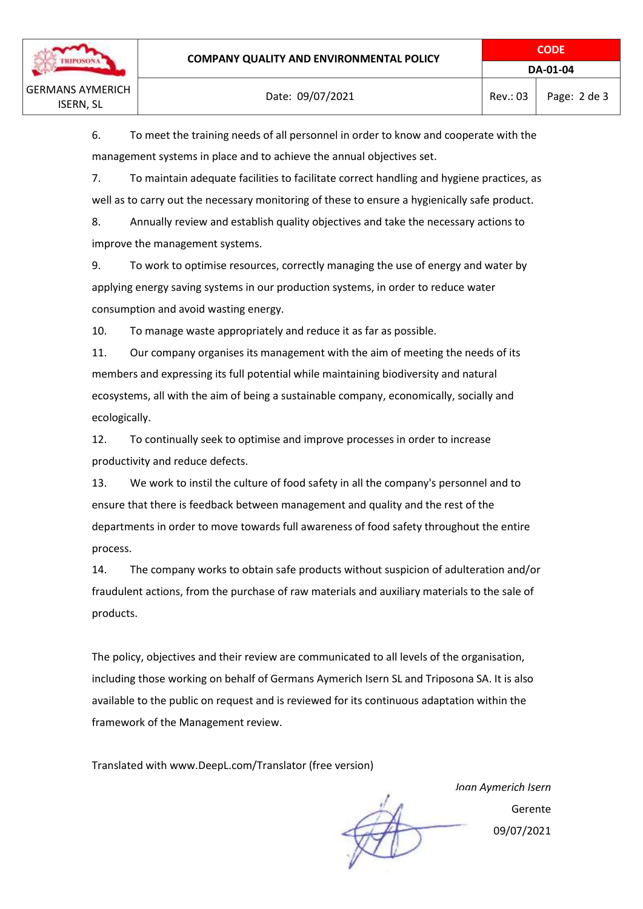**CODE**

6. To meet the training needs of all personnel in order to know and cooperate with the management systems in place and to achieve the annual objectives set.

7. To maintain adequate facilities to facilitate correct handling and hygiene practices, as well as to carry out the necessary monitoring of these to ensure a hygienically safe product.

8. Annually review and establish quality objectives and take the necessary actions to improve the management systems.

9. To work to optimise resources, correctly managing the use of energy and water by applying energy saving systems in our production systems, in order to reduce water consumption and avoid wasting energy.

10. To manage waste appropriately and reduce it as far as possible.

11. Our company organises its management with the aim of meeting the needs of its members and expressing its full potential while maintaining biodiversity and natural ecosystems, all with the aim of being a sustainable company, economically, socially and ecologically.

12. To continually seek to optimise and improve processes in order to increase productivity and reduce defects.

13. We work to instil the culture of food safety in all the company's personnel and to ensure that there is feedback between management and quality and the rest of the departments in order to move towards full awareness of food safety throughout the entire process.

14. The company works to obtain safe products without suspicion of adulteration and/or fraudulent actions, from the purchase of raw materials and auxiliary materials to the sale of products.

The policy, objectives and their review are communicated to all levels of the organisation, including those working on behalf of Germans Aymerich Isern SL and Triposona SA. It is also available to the public on request and is reviewed for its continuous adaptation within the framework of the Management review.

Translated with www.DeepL.com/Translator (free version)

*Joan Aymerich Isern* Gerente 09/07/2021